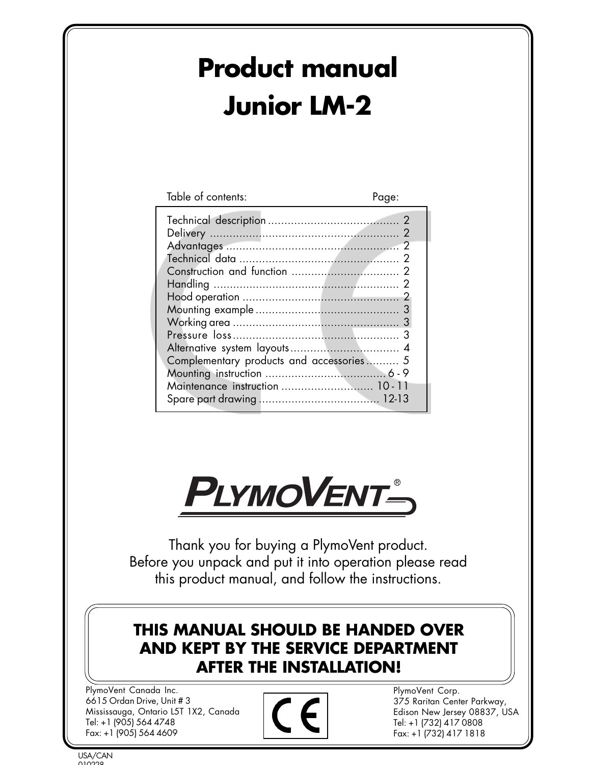# **Product manual Junior LM-2**

| Table of contents:                       | Page: |
|------------------------------------------|-------|
|                                          |       |
|                                          |       |
|                                          |       |
|                                          |       |
|                                          |       |
| Complementary products and accessories 5 |       |
| Maintenance instruction  10-11           |       |
|                                          |       |



Thank you for buying a PlymoVent product. Before you unpack and put it into operation please read this product manual, and follow the instructions.

# **THIS MANUAL SHOULD BE HANDED OVER AND KEPT BY THE SERVICE DEPARTMENT AFTER THE INSTALLATION!**

PlymoVent Canada Inc. 6615 Ordan Drive, Unit # 3 Mississauga, Ontario L5T 1X2, Canada Tel: +1 (905) 564 4748 Fax: +1 (905) 564 4609



PlymoVent Corp. 375 Raritan Center Parkway, Edison New Jersey 08837, USA Tel: +1 (732) 417 0808 Fax: +1 (732) 417 1818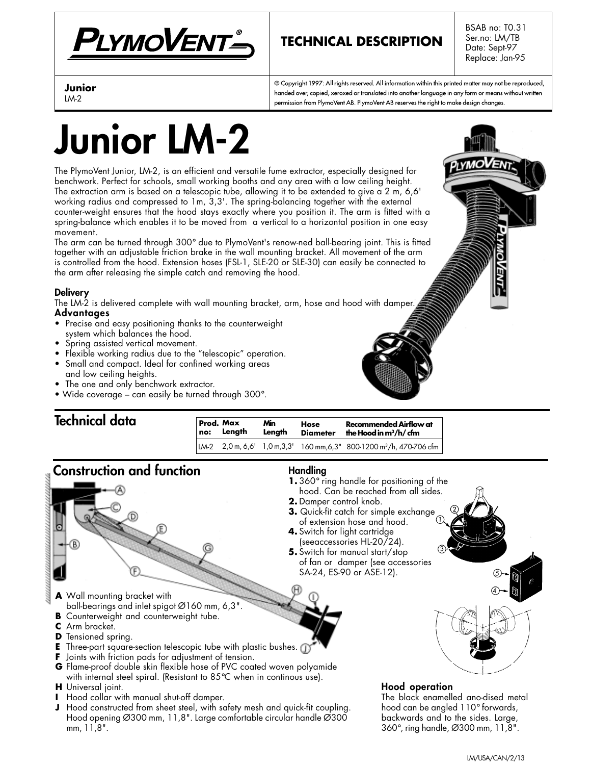

# **TECHNICAL DESCRIPTION**

BSAB no: T0.31 Ser.no: LM/TB Date: Sept-97 Replace: Jan-95

#### **Junior** LM-2

© Copyright 1997: All rights reserved. All information within this printed matter may not be reproduced, handed over, copied, xeroxed or translated into another language in any form or means without written permission from PlymoVent AB. PlymoVent AB reserves the right to make design changes.

# **Junior LM-2**

The PlymoVent Junior, LM-2, is an efficient and versatile fume extractor, especially designed for benchwork. Perfect for schools, small working booths and any area with a low ceiling height. The extraction arm is based on a telescopic tube, allowing it to be extended to give a 2 m, 6,6' working radius and compressed to 1m, 3,3'. The spring-balancing together with the external counter-weight ensures that the hood stays exactly where you position it. The arm is fitted with a spring-balance which enables it to be moved from a vertical to a horizontal position in one easy movement.

The arm can be turned through 300° due to PlymoVent's renow-ned ball-bearing joint. This is fitted together with an adjustable friction brake in the wall mounting bracket. All movement of the arm is controlled from the hood. Extension hoses (FSL-1, SLE-20 or SLE-30) can easily be connected to the arm after releasing the simple catch and removing the hood.

#### **Delivery**

The LM-2 is delivered complete with wall mounting bracket, arm, hose and hood with damper. **Advantages**

- Precise and easy positioning thanks to the counterweight system which balances the hood.
- Spring assisted vertical movement.
- Flexible working radius due to the "telescopic" operation.
- Small and compact. Ideal for confined working areas and low ceiling heights.
- The one and only benchwork extractor.
- Wide coverage can easily be turned through 300°.

# **Technical data**

| Technical agra                   | no: | Prod. Max<br>Lenath | Min.<br>Lenath | Hose<br><b>Diameter</b>                          | <b>Recommended Airflow at</b><br>the Hood in $m^3/h$ cfm                                                                 |
|----------------------------------|-----|---------------------|----------------|--------------------------------------------------|--------------------------------------------------------------------------------------------------------------------------|
|                                  |     |                     |                |                                                  | $\lfloor M_{2} \right  2.0$ m, 6.6' $\lfloor 1.0$ m, 3.3' $\rfloor$ 160 mm, 6.3" 800-1200 m <sup>3</sup> /h, 470-706 cfm |
| <b>Construction and function</b> |     |                     | Handling       | $1.360^\circ$ ring handle for positioning of the |                                                                                                                          |

### **1.** 360° ring handle for positioning of the hood. Can be reached from all sides.

- **2.** Damper control knob.
- **3.** Quick-fit catch for simple exchange of extension hose and hood.
- **4.** Switch for light cartridge (seeaccessories HL-20/24).
- **5.** Switch for manual start/stop of fan or damper (see accessories SA-24, ES-90 or ASE-12).
- **A** Wall mounting bracket with ball-bearings and inlet spigot Ø160 mm, 6,3".
- **B** Counterweight and counterweight tube.
- **C** Arm bracket.
- **D** Tensioned spring.
- **E** Three-part square-section telescopic tube with plastic bushes.
- **F** Joints with friction pads for adjustment of tension.
- **G** Flame-proof double skin flexible hose of PVC coated woven polyamide with internal steel spiral. (Resistant to 85°C when in continous use).
- **H** Universal joint.
- **I** Hood collar with manual shut-off damper.
- **J** Hood constructed from sheet steel, with safety mesh and quick-fit coupling. Hood opening Ø300 mm, 11,8". Large comfortable circular handle Ø300 mm, 11,8".

#### **Hood operation**

The black enamelled ano-dised metal hood can be angled 110° forwards, backwards and to the sides. Large, 360°, ring handle, Ø300 mm, 11,8".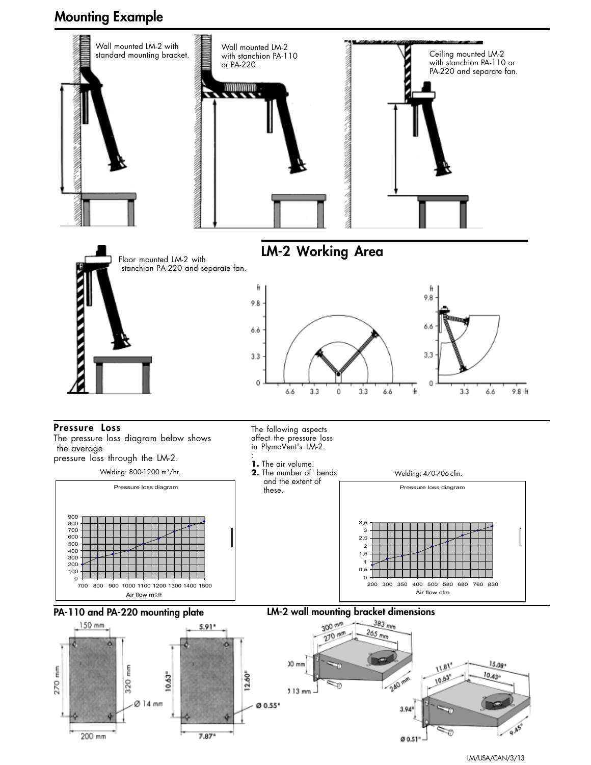# **Mounting Example**



LM/USA/CAN/3/13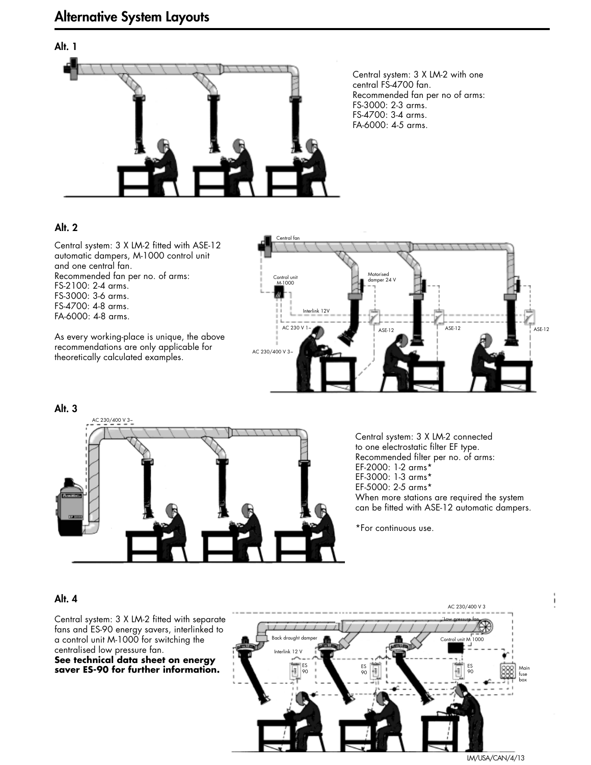# **Alt. 1**

Central system: 3 X LM-2 with one central FS-4700 fan. Recommended fan per no of arms: FS-3000: 2-3 arms. FS-4700: 3-4 arms. FA-6000: 4-5 arms.

#### **Alt. 2**

Central system: 3 X LM-2 fitted with ASE-12 automatic dampers, M-1000 control unit and one central fan. Recommended fan per no. of arms: FS-2100: 2-4 arms. FS-3000: 3-6 arms. FS-4700: 4-8 arms. FA-6000: 4-8 arms.

As every working-place is unique, the above recommendations are only applicable for theoretically calculated examples.





Central system: 3 X LM-2 connected to one electrostatic filter EF type. Recommended filter per no. of arms: EF-2000: 1-2 arms\* EF-3000: 1-3 arms\* EF-5000: 2-5 arms\* When more stations are required the system can be fitted with ASE-12 automatic dampers.

\*For continuous use.

#### **Alt. 4**

Central system: 3 X LM-2 fitted with separate fans and ES-90 energy savers, interlinked to a control unit M-1000 for switching the centralised low pressure fan. **See technical data sheet on energy saver ES-90 for further information.**

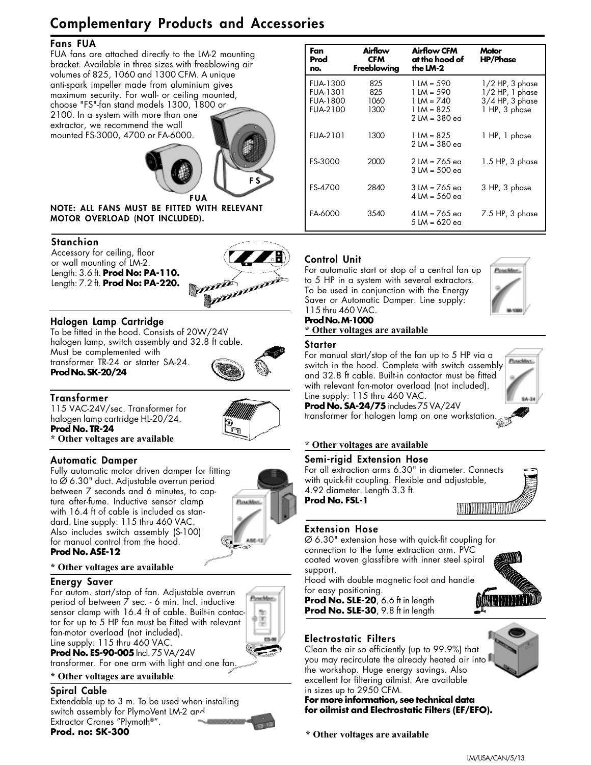# **Complementary Products and Accessories**

#### **Fans FUA**

FUA fans are attached directly to the LM-2 mounting bracket. Available in three sizes with freeblowing air volumes of 825, 1060 and 1300 CFM. A unique anti-spark impeller made from aluminium gives maximum security. For wall- or ceiling mounted, choose "FS"-fan stand models 1300, 1800 or 2100. In a system with more than one extractor, we recommend the wall

mounted FS-3000, 4700 or FA-6000.



**FUA NOTE: ALL FANS MUST BE FITTED WITH RELEVANT MOTOR OVERLOAD (NOT INCLUDED).**

#### **Stanchion**

Accessory for ceiling, floor or wall mounting of LM-2. Length: 3.6 ft. **Prod No: PA-110.** Length: 7.2 ft. **Prod No: PA-220.**



#### **Halogen Lamp Cartridge**

To be fitted in the hood. Consists of 20W/24V halogen lamp, switch assembly and 32.8 ft cable. Must be complemented with transformer TR-24 or starter SA-24. **Prod No. SK-20/24**



#### **Transformer**

115 VAC-24V/sec. Transformer for halogen lamp cartridge HL-20/24. **Prod No. TR-24**



**\* Other voltages are available**

#### **Automatic Damper**

Fully automatic motor driven damper for fitting to Ø 6.30" duct. Adjustable overrun period between 7 seconds and 6 minutes, to capture after-fume. Inductive sensor clamp with 16.4 ft of cable is included as standard. Line supply: 115 thru 460 VAC. Also includes switch assembly (S-100) for manual control from the hood. **Prod No. ASE-12**



#### **\* Other voltages are available**

#### **Energy Saver**

For autom. start/stop of fan. Adjustable overrun period of between 7 sec. - 6 min. Incl. inductive sensor clamp with 16.4 ft of cable. Built-in contactor for up to 5 HP fan must be fitted with relevant fan-motor overload (not included). Line supply: 115 thru 460 VAC. **Prod No. ES-90-005** Incl. 75 VA/24V



transformer. For one arm with light and one fan.

## **\* Other voltages are available**

**Spiral Cable** Extendable up to 3 m. To be used when installing switch assembly for PlymoVent LM-2 and Extractor Cranes "Plymoth®".

**Fan Prod no. Airflow CFM Freeblowing Motor HP/Phase Airflow CFM at the hood of the LM-2** 825 825 1060 1300 1300 2000 2840 3540 FUA-1300 FUA-1301 FUA-1800 FUA-2100 FUA-2101 FS-3000 FS-4700 FA-6000 1/2 HP, 3 phase 1/2 HP, 1 phase 3/4 HP, 3 phase 1 HP, 3 phase 1 HP, 1 phase 1.5 HP, 3 phase 3 HP, 3 phase 7.5 HP, 3 phase 1 LM = 590 1 LM = 590 1 LM = 740  $1$  LM = 825 2 LM = 380 ea  $1$  LM = 825 2 LM = 380 ea 2 LM = 765 ea 3 LM = 500 ea 3 LM = 765 ea 4 LM = 560 ea 4 LM = 765 ea 5 LM = 620 ea

#### **Control Unit**

For automatic start or stop of a central fan up to 5 HP in a system with several extractors. To be used in conjunction with the Energy Saver or Automatic Damper. Line supply: 115 thru 460 VAC.



#### **Prod No. M-1000 \* Other voltages are available**

#### **Starter**

For manual start/stop of the fan up to 5 HP via a **Pouckles** switch in the hood. Complete with switch assembly and 32.8 ft cable. Built-in contactor must be fitted with relevant fan-motor overload (not included). Line supply: 115 thru 460 VAC.

**Prod No. SA-24/75** includes 75 VA/24V transformer for halogen lamp on one workstation.

#### **\* Other voltages are available**

#### **Semi-rigid Extension Hose**

For all extraction arms 6.30" in diameter. Connects with quick-fit coupling. Flexible and adjustable, 4.92 diameter. Length 3.3 ft. **Prod No. FSL-1**



#### **Extension Hose**

Ø 6.30" extension hose with quick-fit coupling for connection to the fume extraction arm. PVC coated woven glassfibre with inner steel spiral support.

Hood with double magnetic foot and handle for easy positioning.

**Prod No. SLE-20**, 6.6 ft in length **Prod No. SLE-30**, 9.8 ft in length



#### **Electrostatic Filters**

Clean the air so efficiently (up to 99.9%) that you may recirculate the already heated air into the workshop. Huge energy savings. Also excellent for filtering oilmist. Are available in sizes up to 2950 CFM.

**For more information, see technical data for oilmist and Electrostatic Filters (EF/EFO).**

**\* Other voltages are available**

**Prod. no: SK-300**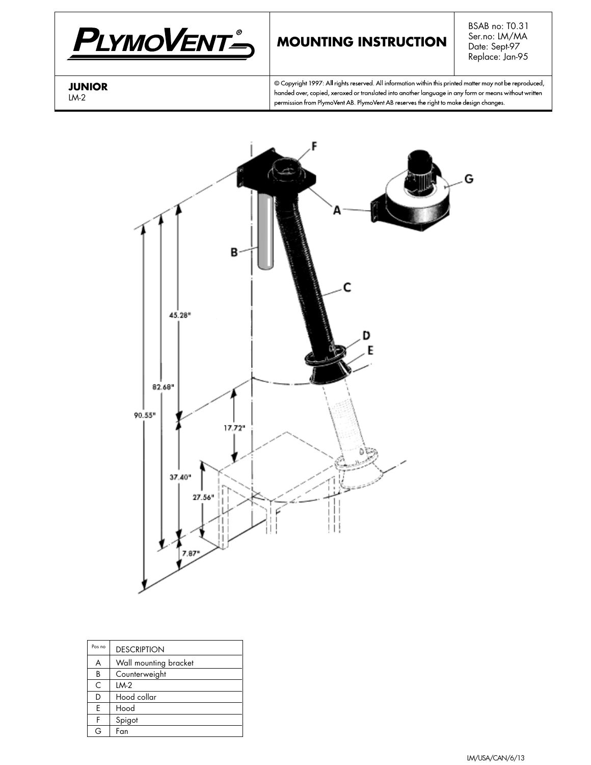

# **MOUNTING INSTRUCTION**

BSAB no: T0.31 Ser.no: LM/MA Date: Sept-97 Replace: Jan-95

#### **JUNIOR** LM-2

© Copyright 1997: All rights reserved. All information within this printed matter may not be reproduced, handed over, copied, xeroxed or translated into another language in any form or means without written permission from PlymoVent AB. PlymoVent AB reserves the right to make design changes.



| Pos no    | <b>DESCRIPTION</b>    |  |  |  |  |  |
|-----------|-----------------------|--|--|--|--|--|
| A         | Wall mounting bracket |  |  |  |  |  |
| B         | Counterweight         |  |  |  |  |  |
| $\subset$ | $IM-2$                |  |  |  |  |  |
| D         | Hood collar           |  |  |  |  |  |
| E         | Hood                  |  |  |  |  |  |
| F         | Spigot                |  |  |  |  |  |
| G         | Fan                   |  |  |  |  |  |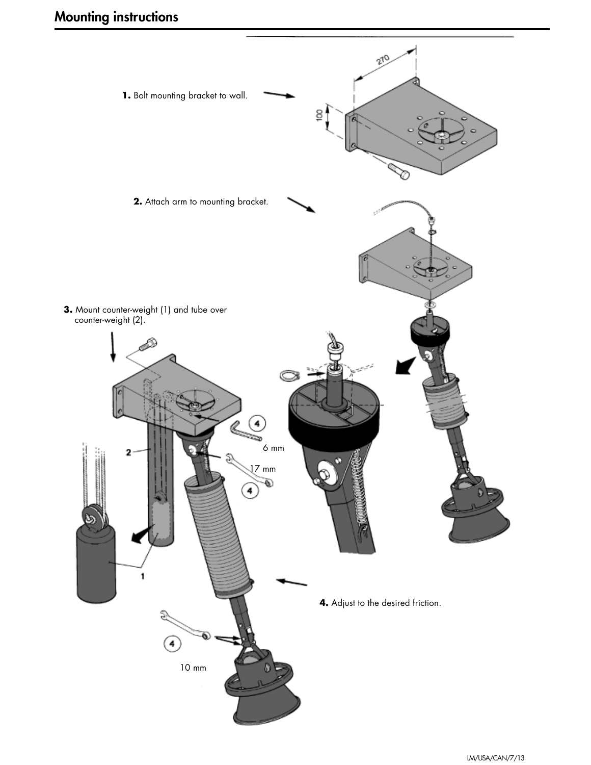# **Mounting instructions**

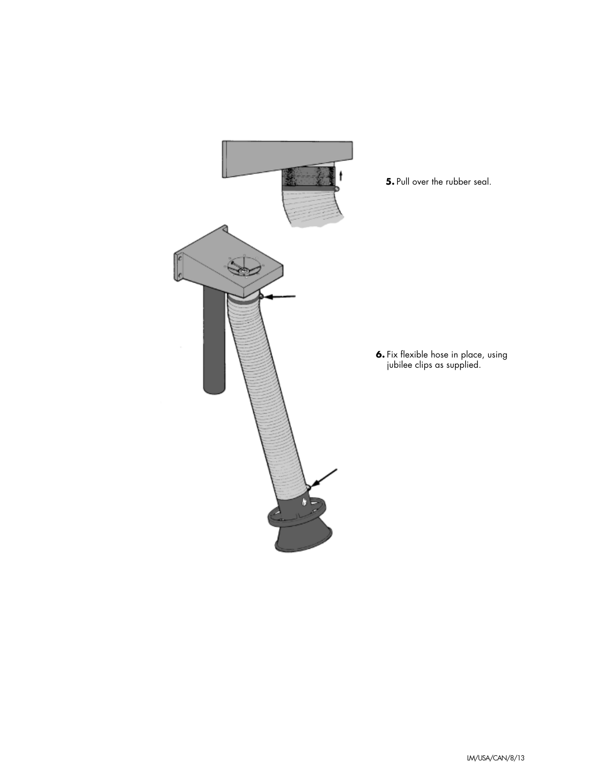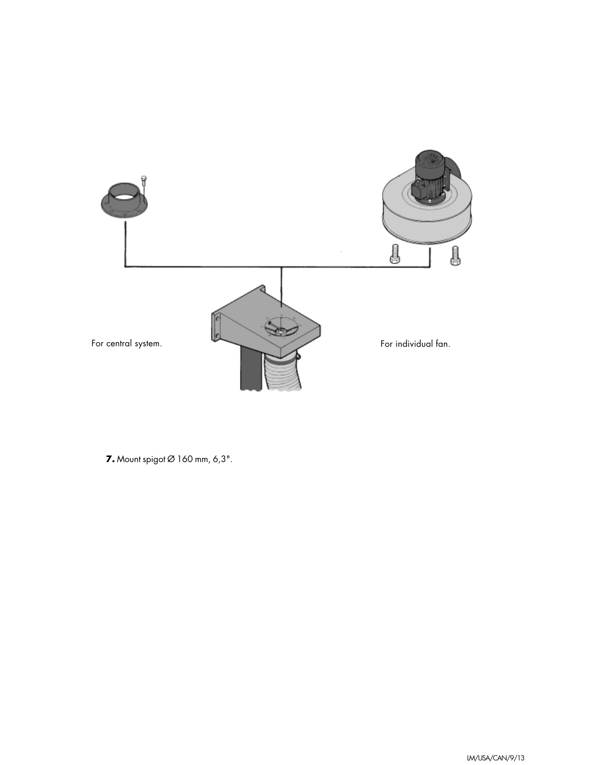

**7.** Mount spigot Ø 160 mm, 6,3".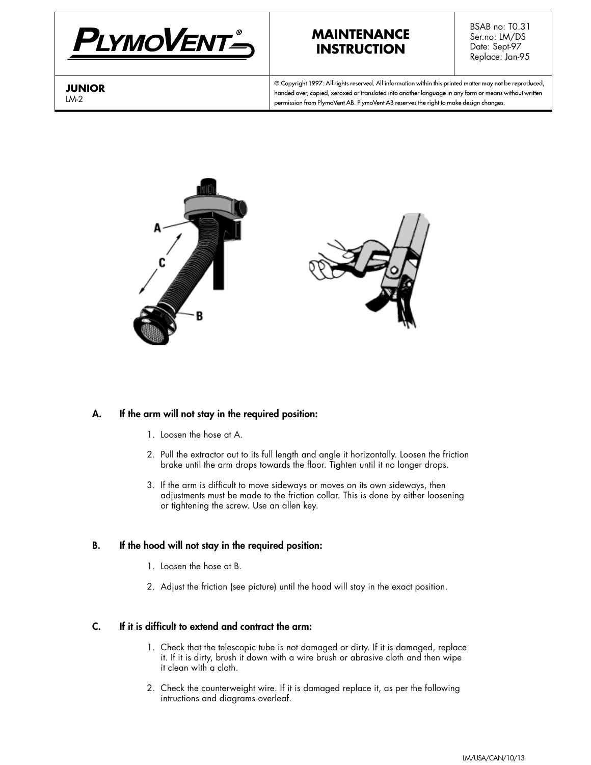

## **MAINTENANCE INSTRUCTION**

BSAB no: T0.31 Ser.no: LM/DS Date: Sept-97 Replace: Jan-95

**JUNIOR** LM-2

© Copyright 1997: All rights reserved. All information within this printed matter may not be reproduced, handed over, copied, xeroxed or translated into another language in any form or means without written permission from PlymoVent AB. PlymoVent AB reserves the right to make design changes.



#### **A. If the arm will not stay in the required position:**

- 1. Loosen the hose at A.
- 2. Pull the extractor out to its full length and angle it horizontally. Loosen the friction brake until the arm drops towards the floor. Tighten until it no longer drops.
- 3. If the arm is difficult to move sideways or moves on its own sideways, then adjustments must be made to the friction collar. This is done by either loosening or tightening the screw. Use an allen key.

#### **B. If the hood will not stay in the required position:**

- 1. Loosen the hose at B.
- 2. Adjust the friction (see picture) until the hood will stay in the exact position.

#### **C. If it is difficult to extend and contract the arm:**

- 1. Check that the telescopic tube is not damaged or dirty. If it is damaged, replace it. If it is dirty, brush it down with a wire brush or abrasive cloth and then wipe it clean with a cloth.
- 2. Check the counterweight wire. If it is damaged replace it, as per the following intructions and diagrams overleaf.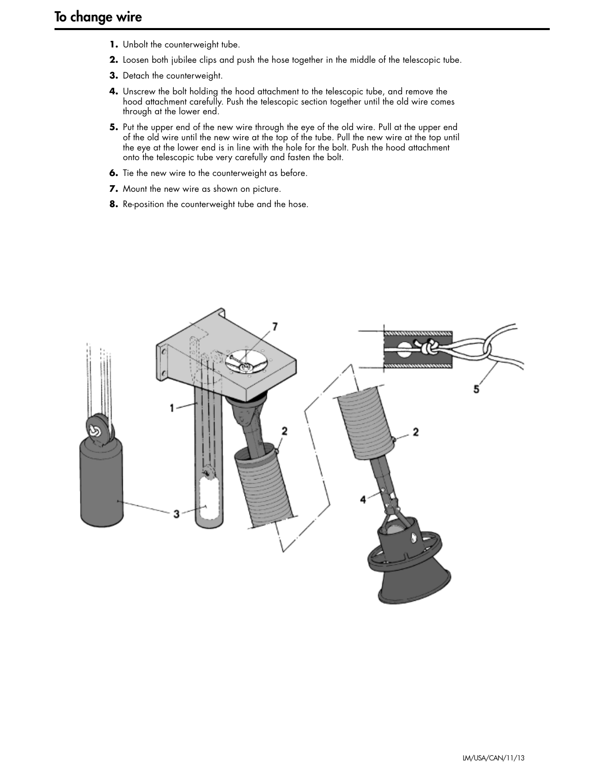- **1.** Unbolt the counterweight tube.
- **2.** Loosen both jubilee clips and push the hose together in the middle of the telescopic tube.
- **3.** Detach the counterweight.
- **4.** Unscrew the bolt holding the hood attachment to the telescopic tube, and remove the hood attachment carefully. Push the telescopic section together until the old wire comes through at the lower end.
- **5.** Put the upper end of the new wire through the eye of the old wire. Pull at the upper end of the old wire until the new wire at the top of the tube. Pull the new wire at the top until the eye at the lower end is in line with the hole for the bolt. Push the hood attachment onto the telescopic tube very carefully and fasten the bolt.
- **6.** Tie the new wire to the counterweight as before.
- **7.** Mount the new wire as shown on picture.
- **8.** Re-position the counterweight tube and the hose.

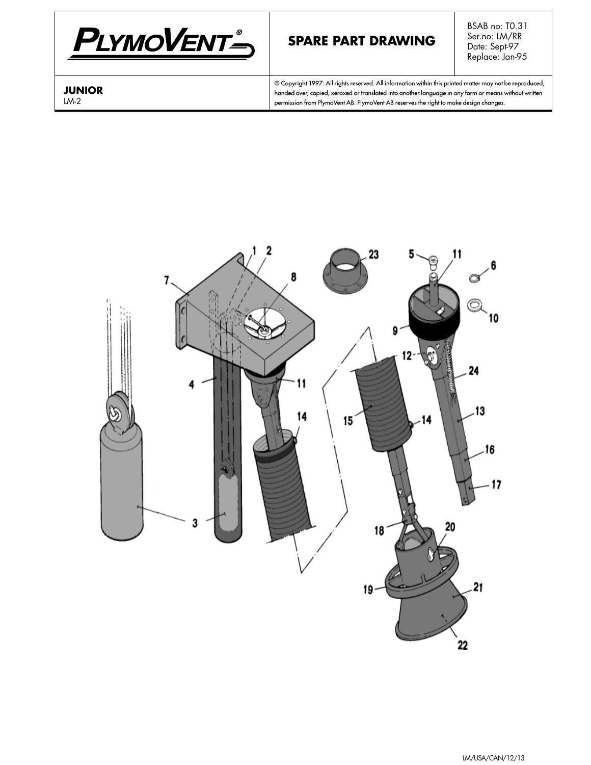

# **SPARE PART DRAWING**

BSAB no: T0.31 Ser.no: LM/RR Date: Sept-97 Replace: Jan-95

**JUNIOR** LM-2

© Copyright 1997: All rights reserved. All information within this printed matter may not be reproduced, handed over, copied, xeroxed or translated into another language in any form or means without written permission from PlymoVent AB. PlymoVent AB reserves the right to make design changes.